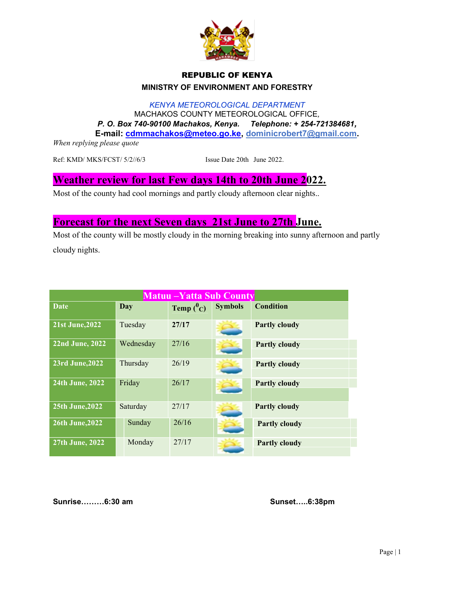

## REPUBLIC OF KENYA MINISTRY OF ENVIRONMENT AND FORESTRY

KENYA METEOROLOGICAL DEPARTMENT MACHAKOS COUNTY METEOROLOGICAL OFFICE, P. O. Box 740-90100 Machakos, Kenya. Telephone: + 254-721384681, E-mail: cdmmachakos@meteo.go.ke, dominicrobert7@gmail.com.

When replying please quote

Ref: KMD/ MKS/FCST/ 5/2//6/3 Issue Date 20th June 2022.

## Weather review for last Few days 14th to 20th June 2022.

Most of the county had cool mornings and partly cloudy afternoon clear nights..

## Forecast for the next Seven days 21st June to 27th June.

Most of the county will be mostly cloudy in the morning breaking into sunny afternoon and partly cloudy nights.

| <b>Matuu – Yatta Sub County</b> |           |              |                |                      |  |
|---------------------------------|-----------|--------------|----------------|----------------------|--|
| Date                            | Day       | Temp $(^0C)$ | <b>Symbols</b> | <b>Condition</b>     |  |
| 21st June, 2022                 | Tuesday   | 27/17        |                | <b>Partly cloudy</b> |  |
| 22nd June, 2022                 | Wednesday | 27/16        |                | <b>Partly cloudy</b> |  |
| <b>23rd June, 2022</b>          | Thursday  | 26/19        |                | <b>Partly cloudy</b> |  |
| 24th June, 2022                 | Friday    | 26/17        |                | <b>Partly cloudy</b> |  |
| 25th June, 2022                 | Saturday  | 27/17        |                | <b>Partly cloudy</b> |  |
| 26th June, 2022                 | Sunday    | 26/16        |                | <b>Partly cloudy</b> |  |
| 27th June, 2022                 | Monday    | 27/17        |                | <b>Partly cloudy</b> |  |

Sunrise………6:30 am Sunset…..6:38pm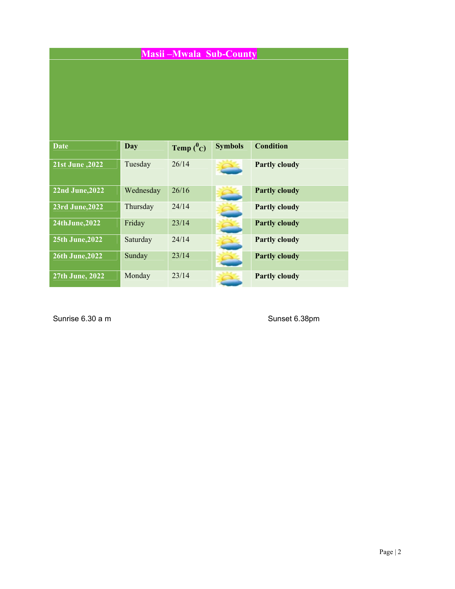|                        |            | <b>Masii-Mwala Sub-County</b> |                |                      |
|------------------------|------------|-------------------------------|----------------|----------------------|
| Date                   | <b>Day</b> | Temp $(^0C)$                  | <b>Symbols</b> | <b>Condition</b>     |
| 21st June , 2022       | Tuesday    | 26/14                         |                | <b>Partly cloudy</b> |
| <b>22nd June, 2022</b> | Wednesday  | 26/16                         |                | <b>Partly cloudy</b> |
| <b>23rd June, 2022</b> | Thursday   | 24/14                         |                | <b>Partly cloudy</b> |
| 24thJune,2022          | Friday     | 23/14                         |                | <b>Partly cloudy</b> |
| 25th June, 2022        | Saturday   | 24/14                         |                | <b>Partly cloudy</b> |
| <b>26th June, 2022</b> | Sunday     | 23/14                         |                | <b>Partly cloudy</b> |
| 27th June, 2022        | Monday     | 23/14                         |                | <b>Partly cloudy</b> |

Sunrise 6.30 a m Sunset 6.38pm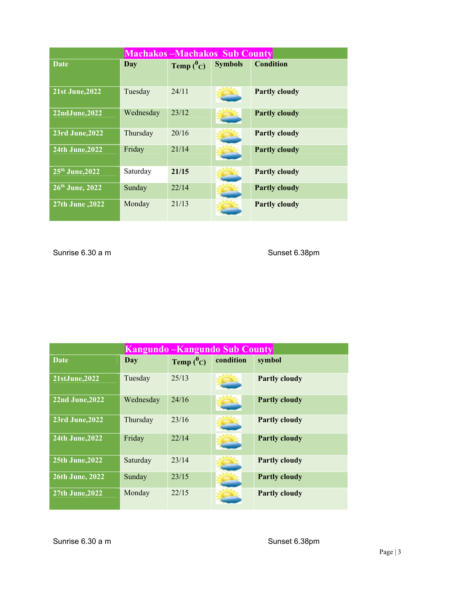| <b>Machakos-Machakos Sub County</b> |           |              |                |                      |  |
|-------------------------------------|-----------|--------------|----------------|----------------------|--|
| <b>Date</b>                         | Day       | Temp $(^0C)$ | <b>Symbols</b> | <b>Condition</b>     |  |
| <b>21st June, 2022</b>              | Tuesday   | 24/11        |                | <b>Partly cloudy</b> |  |
| 22ndJune, 2022                      | Wednesday | 23/12        |                | <b>Partly cloudy</b> |  |
| <b>23rd June, 2022</b>              | Thursday  | 20/16        |                | <b>Partly cloudy</b> |  |
| 24th June, 2022                     | Friday    | 21/14        |                | <b>Partly cloudy</b> |  |
| 25 <sup>th</sup> June, 2022         | Saturday  | 21/15        |                | <b>Partly cloudy</b> |  |
| $26th$ June, 2022                   | Sunday    | 22/14        |                | <b>Partly cloudy</b> |  |
| $27th$ June , $2022$                | Monday    | 21/13        |                | <b>Partly cloudy</b> |  |

Sunrise 6.30 a m Sunset 6.38pm

| <b>Kangundo – Kangundo Sub County</b> |           |              |           |                      |  |
|---------------------------------------|-----------|--------------|-----------|----------------------|--|
| <b>Date</b>                           | Day       | Temp $(^0C)$ | condition | symbol               |  |
| 21stJune, 2022                        | Tuesday   | 25/13        |           | <b>Partly cloudy</b> |  |
| $22nd$ June, $2022$                   | Wednesday | 24/16        |           | <b>Partly cloudy</b> |  |
| <b>23rd June, 2022</b>                | Thursday  | 23/16        |           | <b>Partly cloudy</b> |  |
| 24th June, 2022                       | Friday    | 22/14        |           | <b>Partly cloudy</b> |  |
| 25th June, 2022                       | Saturday  | 23/14        |           | <b>Partly cloudy</b> |  |
| <b>26th June, 2022</b>                | Sunday    | 23/15        |           | <b>Partly cloudy</b> |  |
| 27th June, 2022                       | Monday    | 22/15        |           | <b>Partly cloudy</b> |  |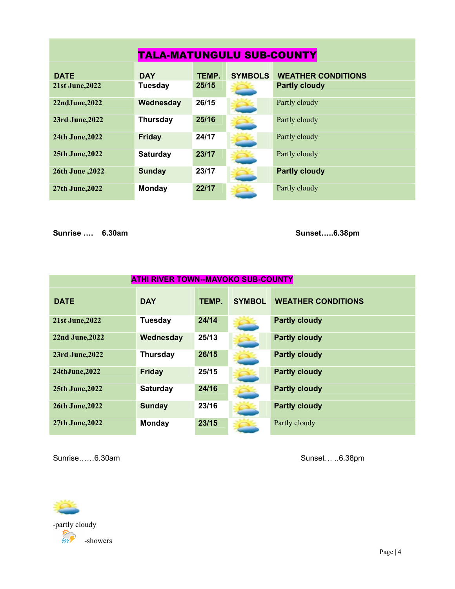| <b>TALA-MATUNGULU SUB-COUNTY</b> |                 |       |                |                           |  |  |
|----------------------------------|-----------------|-------|----------------|---------------------------|--|--|
| <b>DATE</b>                      | <b>DAY</b>      | TEMP. | <b>SYMBOLS</b> | <b>WEATHER CONDITIONS</b> |  |  |
| <b>21st June, 2022</b>           | <b>Tuesday</b>  | 25/15 |                | <b>Partly cloudy</b>      |  |  |
| 22ndJune, 2022                   | Wednesday       | 26/15 |                | Partly cloudy             |  |  |
| 23rd June, 2022                  | <b>Thursday</b> | 25/16 |                | Partly cloudy             |  |  |
| 24th June, 2022                  | <b>Friday</b>   | 24/17 |                | Partly cloudy             |  |  |
| <b>25th June, 2022</b>           | <b>Saturday</b> | 23/17 |                | Partly cloudy             |  |  |
| 2022, 20th June                  | <b>Sunday</b>   | 23/17 |                | <b>Partly cloudy</b>      |  |  |
| <b>27th June, 2022</b>           | <b>Monday</b>   | 22/17 |                | Partly cloudy             |  |  |

Sunrise …. 6.30am Sunset…..6.38pm

| <b>ATHI RIVER TOWN--MAVOKO SUB-COUNTY</b> |                 |       |               |                           |  |
|-------------------------------------------|-----------------|-------|---------------|---------------------------|--|
| <b>DATE</b>                               | <b>DAY</b>      | TEMP. | <b>SYMBOL</b> | <b>WEATHER CONDITIONS</b> |  |
| <b>21st June, 2022</b>                    | <b>Tuesday</b>  | 24/14 |               | <b>Partly cloudy</b>      |  |
| 22nd June, 2022                           | Wednesday       | 25/13 |               | <b>Partly cloudy</b>      |  |
| 23rd June, 2022                           | <b>Thursday</b> | 26/15 |               | <b>Partly cloudy</b>      |  |
| 24thJune, 2022                            | <b>Friday</b>   | 25/15 |               | <b>Partly cloudy</b>      |  |
| 25th June, 2022                           | <b>Saturday</b> | 24/16 |               | <b>Partly cloudy</b>      |  |
| <b>26th June, 2022</b>                    | <b>Sunday</b>   | 23/16 |               | <b>Partly cloudy</b>      |  |
| 27th June, 2022                           | Monday          | 23/15 |               | Partly cloudy             |  |

Sunrise……6.30am Sunset… ..6.38pm